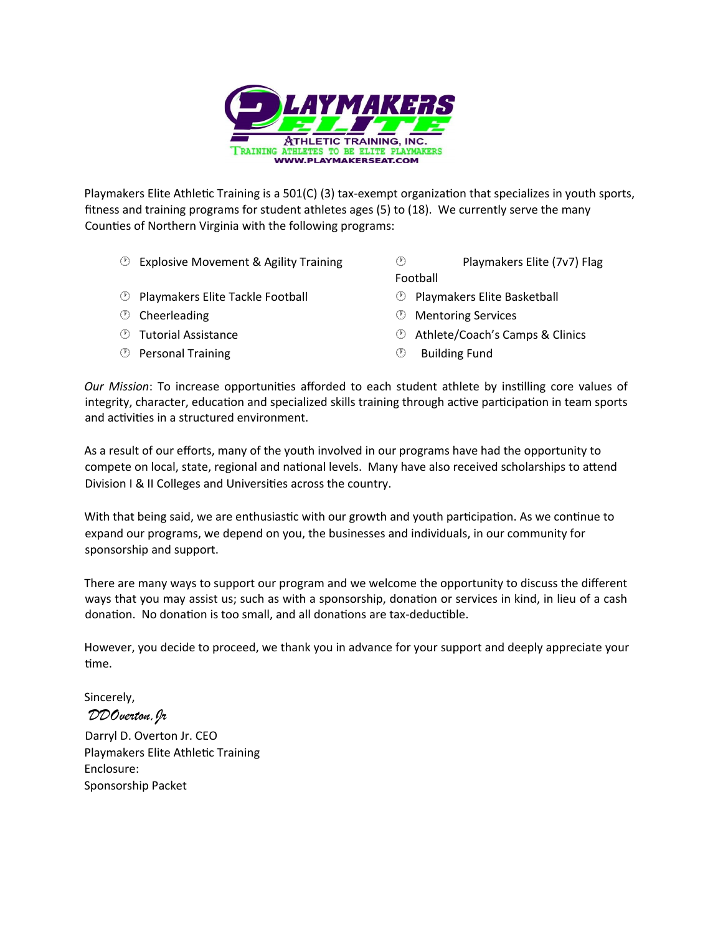

Playmakers Elite Athletic Training is a 501(C) (3) tax-exempt organization that specializes in youth sports, fitness and training programs for student athletes ages (5) to (18). We currently serve the many Counties of Northern Virginia with the following programs:

- $\circled{2}$  Explosive Movement & Agility Training  $\circled{2}$  Playmakers Elite (7v7) Flag
- Football
- $\circled{P}$  Playmakers Elite Tackle Football  $\circled{P}$  Playmakers Elite Basketball
- 
- 
- **Example 13 September 20 September 20 September 20 September 20 September 20 September 20 September 20 September 20 September 20 September 20 September 20 September 20 September 20 September 20 September 20 September 20 Se**
- 
- **Cheerleading Cheerleading Cheerleading Cheerleading Cheerleading Cheerleading Cheerleading Cheerleading Cheerleading Cheerleading Cheerleading Cheerleading Cheerleading Cheerleading Cheerleading Cheerleading Cheerleading**
- **19 Tutorial Assistance Athlete/Coach's Camps & Clinics** 
	-

*Our Mission*: To increase opportunities afforded to each student athlete by instilling core values of integrity, character, education and specialized skills training through active participation in team sports and activities in a structured environment.

As a result of our efforts, many of the youth involved in our programs have had the opportunity to compete on local, state, regional and national levels. Many have also received scholarships to attend Division I & II Colleges and Universities across the country.

With that being said, we are enthusiastic with our growth and youth participation. As we continue to expand our programs, we depend on you, the businesses and individuals, in our community for sponsorship and support.

There are many ways to support our program and we welcome the opportunity to discuss the different ways that you may assist us; such as with a sponsorship, donation or services in kind, in lieu of a cash donation. No donation is too small, and all donations are tax-deductible.

However, you decide to proceed, we thank you in advance for your support and deeply appreciate your time.

Sincerely, *DDOverton,Jr*

Darryl D. Overton Jr. CEO Playmakers Elite Athletic Training Enclosure: Sponsorship Packet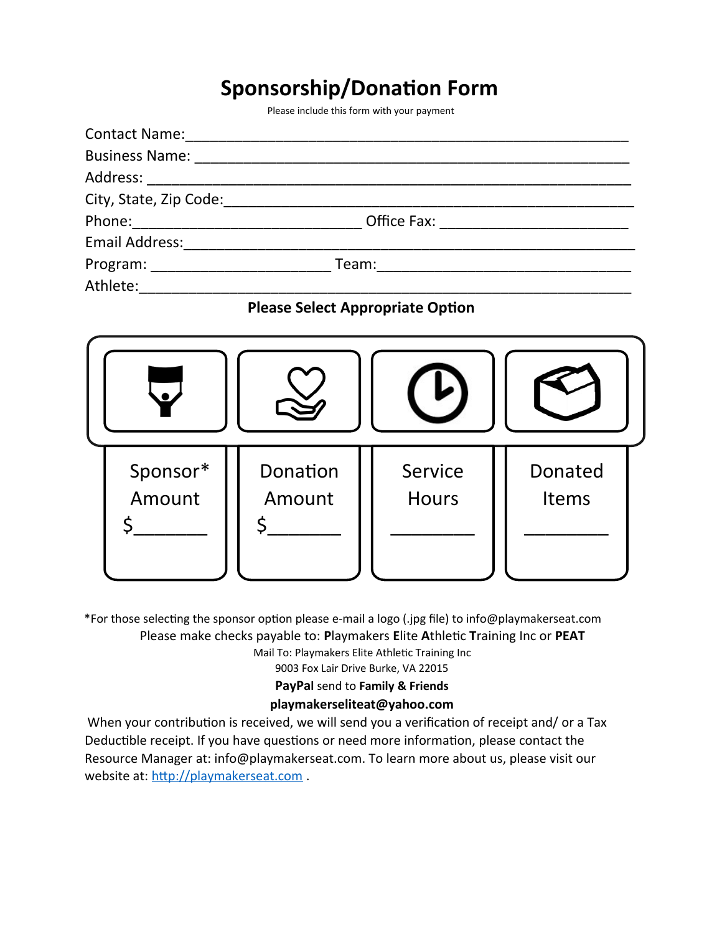# **Sponsorship/Donation Form**

Please include this form with your payment

| City, State, Zip Code:                                                                                                                                                                                                         |  |
|--------------------------------------------------------------------------------------------------------------------------------------------------------------------------------------------------------------------------------|--|
|                                                                                                                                                                                                                                |  |
| Email Address:                                                                                                                                                                                                                 |  |
| Program: and the contract of the contract of the contract of the contract of the contract of the contract of the contract of the contract of the contract of the contract of the contract of the contract of the contract of t |  |
| Athlete:                                                                                                                                                                                                                       |  |

### **Please Select Appropriate Option**



\*For those selecting the sponsor option please e-mail a logo (.jpg file) to info@playmakerseat.com Please make checks payable to: **P**laymakers **E**lite **A**thletic **T**raining Inc or **PEAT** Mail To: Playmakers Elite Athletic Training Inc

9003 Fox Lair Drive Burke, VA 22015

**PayPal** send to **Family & Friends**

### **playmakerseliteat@yahoo.com**

 When your contribution is received, we will send you a verification of receipt and/ or a Tax Deductible receipt. If you have questions or need more information, please contact the Resource Manager at: info@playmakerseat.com. To learn more about us, please visit our website at: [http://playmakerseat.com](http://playmakerseat.com/).